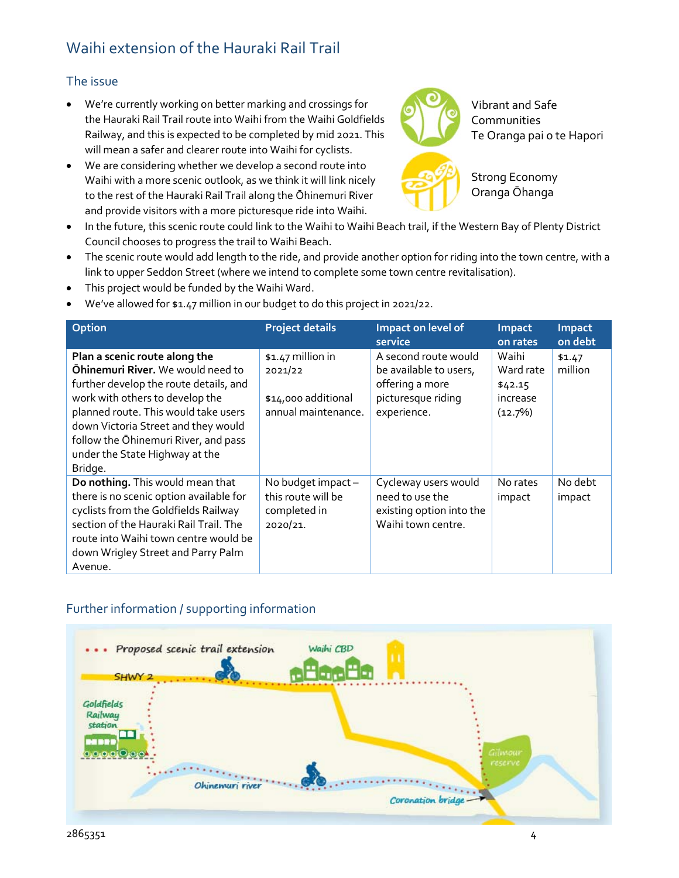## Waihi extension of the Hauraki Rail Trail

## The issue

- We're currently working on better marking and crossings for the Hauraki Rail Trail route into Waihi from the Waihi Goldfields Railway, and this is expected to be completed by mid 2021. This will mean a safer and clearer route into Waihi for cyclists.
- We are considering whether we develop a second route into Waihi with a more scenic outlook, as we think it will link nicely to the rest of the Hauraki Rail Trail along the Ōhinemuri River and provide visitors with a more picturesque ride into Waihi.



Vibrant and Safe **Communities** Te Oranga pai o te Hapori



Strong Economy Oranga Ōhanga

- In the future, this scenic route could link to the Waihi to Waihi Beach trail, if the Western Bay of Plenty District Council chooses to progress the trail to Waihi Beach.
- The scenic route would add length to the ride, and provide another option for riding into the town centre, with a link to upper Seddon Street (where we intend to complete some town centre revitalisation).
- This project would be funded by the Waihi Ward.
- We've allowed for \$1.47 million in our budget to do this project in 2021/22.

| Option                                                                                                                                                                                                                                                                                                                     | <b>Project details</b>                                                     | Impact on level of<br>service                                                                          | Impact<br>on rates                                   | Impact<br>on debt |
|----------------------------------------------------------------------------------------------------------------------------------------------------------------------------------------------------------------------------------------------------------------------------------------------------------------------------|----------------------------------------------------------------------------|--------------------------------------------------------------------------------------------------------|------------------------------------------------------|-------------------|
| Plan a scenic route along the<br><b>Ohinemuri River.</b> We would need to<br>further develop the route details, and<br>work with others to develop the<br>planned route. This would take users<br>down Victoria Street and they would<br>follow the Ohinemuri River, and pass<br>under the State Highway at the<br>Bridge. | \$1.47 million in<br>2021/22<br>\$14,000 additional<br>annual maintenance. | A second route would<br>be available to users,<br>offering a more<br>picturesque riding<br>experience. | Waihi<br>Ward rate<br>\$42.15<br>increase<br>(12.7%) | \$1.47<br>million |
| Do nothing. This would mean that<br>there is no scenic option available for<br>cyclists from the Goldfields Railway<br>section of the Hauraki Rail Trail. The<br>route into Waihi town centre would be<br>down Wrigley Street and Parry Palm<br>Avenue.                                                                    | No budget impact -<br>this route will be<br>completed in<br>2020/21.       | Cycleway users would<br>need to use the<br>existing option into the<br>Waihi town centre.              | No rates<br>impact                                   | No debt<br>impact |

## Further information / supporting information